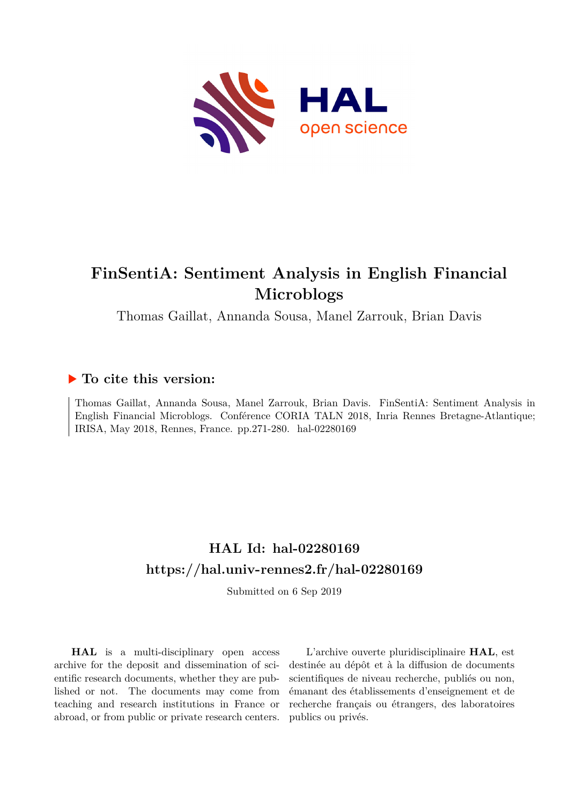

# **FinSentiA: Sentiment Analysis in English Financial Microblogs**

Thomas Gaillat, Annanda Sousa, Manel Zarrouk, Brian Davis

# **To cite this version:**

Thomas Gaillat, Annanda Sousa, Manel Zarrouk, Brian Davis. FinSentiA: Sentiment Analysis in English Financial Microblogs. Conférence CORIA TALN 2018, Inria Rennes Bretagne-Atlantique; IRISA, May 2018, Rennes, France. pp.271-280. hal-02280169

# **HAL Id: hal-02280169 <https://hal.univ-rennes2.fr/hal-02280169>**

Submitted on 6 Sep 2019

**HAL** is a multi-disciplinary open access archive for the deposit and dissemination of scientific research documents, whether they are published or not. The documents may come from teaching and research institutions in France or abroad, or from public or private research centers.

L'archive ouverte pluridisciplinaire **HAL**, est destinée au dépôt et à la diffusion de documents scientifiques de niveau recherche, publiés ou non, émanant des établissements d'enseignement et de recherche français ou étrangers, des laboratoires publics ou privés.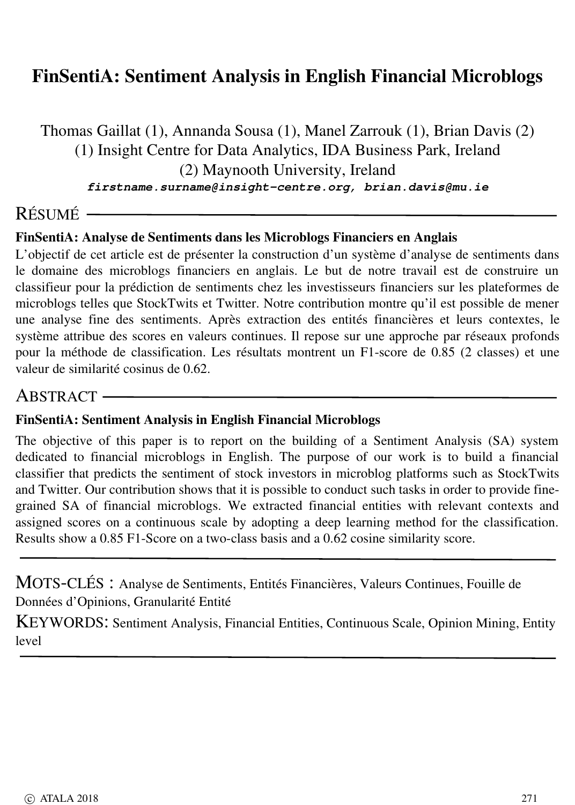### FinSentiA: Sentiment Analysis in English Financial Microblogs

Thomas Gaillat (1), Annanda Sousa (1), Manel Zarrouk (1), Brian Davis (2) (1) Insight Centre for Data Analytics, IDA Business Park, Ireland (2) Maynooth University, Ireland firstname.surname@insight-centre.org, brian.davis@mu.ie

# R ÉSUM É

### FinSentiA: Analyse de Sentiments dans les Microblogs Financiers en Anglais

L'objectif de cet article est de pr ésenter la construction d'un syst ème d'analyse de sentiments dans le domaine des microblogs financiers en anglais. Le but de notre travail est de construire un classifieur pour la pr édiction de sentiments chez les investisseurs financiers sur les plateformes de microblogs telles que StockTwits et Twitter. Notre contribution montre qu'il est possible de mener une analyse fine des sentiments. Apr ès extraction des entit és financi ères et leurs contextes, le syst ème attribue des scores en valeurs continues. Il repose sur une approche par r éseaux profonds pour la méthode de classification. Les résultats montrent un F1-score de 0.85 (2 classes) et une valeur de similarit é cosinus de 0.62.

### ABSTRACT-

#### FinSentiA: Sentiment Analysis in English Financial Microblogs

The objective of this paper is to report on the building of a Sentiment Analysis (SA) system dedicated to financial microblogs in English. The purpose of our work is to build a financial classifier that predicts the sentiment of stock investors in microblog platforms such as StockTwits and Twitter. Our contribution shows that it is possible to conduct such tasks in order to provide finegrained SA of financial microblogs. We extracted financial entities with relevant contexts and assigned scores on a continuous scale by adopting a deep learning method for the classification. Results show a 0.85 F1-Score on a two-class basis and a 0.62 cosine similarity score.

MOTS-CLÉS : Analyse de Sentiments, Entités Financières, Valeurs Continues, Fouille de Donn ées d'Opinions, Granularit é Entit é

KEYWORDS : Sentiment Analysis, Financial Entities, Continuous Scale, Opinion Mining, Entity level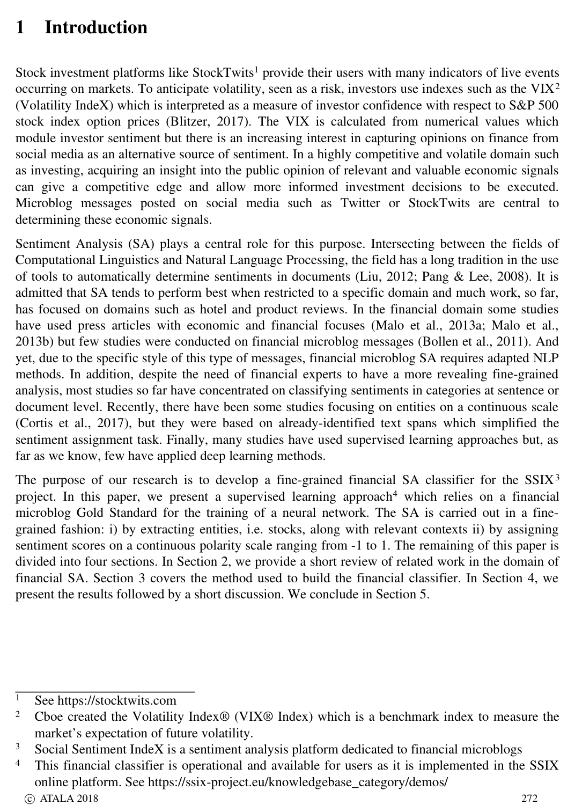# 1 Introduction

Stock investment platforms like StockTwits<sup>1</sup> provide their users with many indicators of live events occurring on markets. To anticipate volatility, seen as a risk, investors use indexes such as the VIX 2 (Volatility IndeX) which is interpreted as a measure of investor confidence with respect to S&P 500 stock index option prices (Blitzer, 2017). The VIX is calculated from numerical values which module investor sentiment but there is an increasing interest in capturing opinions on finance from social media as an alternative source of sentiment. In a highly competitive and volatile domain such as investing, acquiring an insight into the public opinion of relevant and valuable economic signals can give a competitive edge and allow more informed investment decisions to be executed. Microblog messages posted on social media such as Twitter or StockTwits are central to determining these economic signals.

Sentiment Analysis (SA) plays a central role for this purpose. Intersecting between the fields of Computational Linguistics and Natural Language Processing, the field has a long tradition in the use of tools to automatically determine sentiments in documents (Liu, 2012; Pang & Lee, 2008). It is admitted that SA tends to perform best when restricted to a specific domain and much work, so far, has focused on domains such as hotel and product reviews. In the financial domain some studies have used press articles with economic and financial focuses (Malo et al., 2013a; Malo et al., 2013b) but few studies were conducted on financial microblog messages (Bollen et al., 2011). And yet, due to the specific style of this type of messages, financial microblog SA requires adapted NLP methods. In addition, despite the need of financial experts to have a more revealing fine-grained analysis, most studies so far have concentrated on classifying sentiments in categories at sentence or document level. Recently, there have been some studies focusing on entities on a continuous scale (Cortis et al., 2017), but they were based on alreadyidentified text spans which simplified the sentiment assignment task. Finally, many studies have used supervised learning approaches but, as far as we know, few have applied deep learning methods.

The purpose of our research is to develop a fine-grained financial SA classifier for the  $SSIX<sup>3</sup>$ project. In this paper, we present a supervised learning approach <sup>4</sup> which relies on a financial microblog Gold Standard for the training of a neural network. The SA is carried out in a finegrained fashion: i) by extracting entities, i.e. stocks, along with relevant contexts ii) by assigning sentiment scores on a continuous polarity scale ranging from  $-1$  to 1. The remaining of this paper is divided into four sections. In Section 2, we provide a short review of related work in the domain of financial SA. Section 3 covers the method used to build the financial classifier. In Section 4, we present the results followed by a short discussion. We conclude in Section 5.

<sup>&</sup>lt;sup>1</sup> See https://stocktwits.com

<sup>&</sup>lt;sup>2</sup> Cboe created the Volatility Index<sup>®</sup> (VIX<sup>®</sup> Index) which is a benchmark index to measure the market's expectation of future volatility.

<sup>&</sup>lt;sup>3</sup> Social Sentiment IndeX is a sentiment analysis platform dedicated to financial microblogs<br><sup>4</sup> This financial classifies is approximal and supilable for users as it is implemented in the

This financial classifier is operational and available for users as it is implemented in the SSIX online platform. See https://ssix-project.eu/knowledgebase\_category/demos/  $\circ$  ATALA 2018 272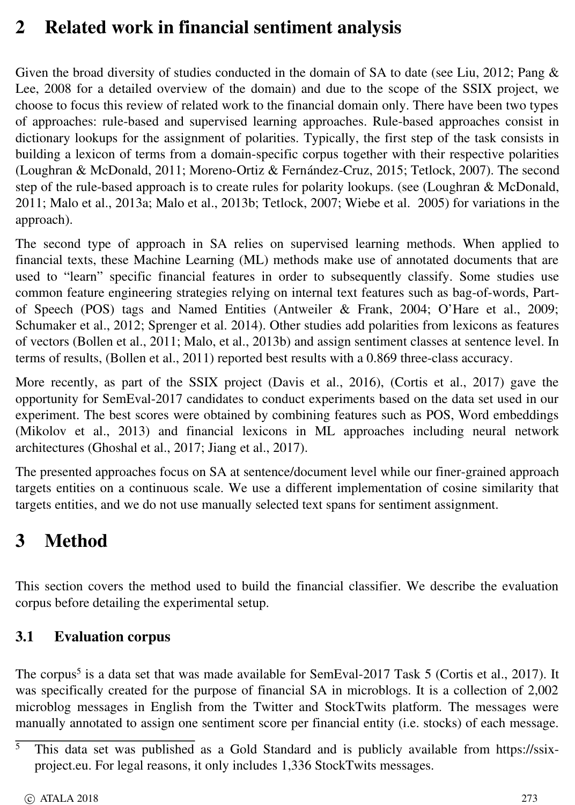# 2 Related work in financial sentiment analysis

Given the broad diversity of studies conducted in the domain of SA to date (see Liu, 2012; Pang & Lee, 2008 for a detailed overview of the domain) and due to the scope of the SSIX project, we choose to focus this review of related work to the financial domain only. There have been two types of approaches: rule-based and supervised learning approaches. Rule-based approaches consist in dictionary lookups for the assignment of polarities. Typically, the first step of the task consists in building a lexicon of terms from a domain-specific corpus together with their respective polarities (Loughran & McDonald, 2011; Moreno-Ortiz & Fernández-Cruz, 2015; Tetlock, 2007). The second step of the rule-based approach is to create rules for polarity lookups. (see (Loughran & McDonald, 2011; Malo et al., 2013a; Malo et al., 2013b; Tetlock, 2007; Wiebe et al. 2005) for variations in the approach).

The second type of approach in SA relies on supervised learning methods. When applied to financial texts, these Machine Learning (ML) methods make use of annotated documents that are used to "learn" specific financial features in order to subsequently classify. Some studies use common feature engineering strategies relying on internal text features such as bag-of-words, Partof Speech (POS) tags and Named Entities (Antweiler & Frank, 2004; O'Hare et al., 2009; Schumaker et al., 2012; Sprenger et al. 2014). Other studies add polarities from lexicons as features of vectors (Bollen et al., 2011; Malo, et al., 2013b) and assign sentiment classes at sentence level. In terms of results, (Bollen et al., 2011) reported best results with a 0.869 threeclass accuracy.

More recently, as part of the SSIX project (Davis et al., 2016), (Cortis et al., 2017) gave the opportunity for SemEval2017 candidates to conduct experiments based on the data set used in our experiment. The best scores were obtained by combining features such as POS, Word embeddings (Mikolov et al., 2013) and financial lexicons in ML approaches including neural network architectures (Ghoshal et al., 2017; Jiang et al., 2017).

The presented approaches focus on SA at sentence/document level while our finer-grained approach targets entities on a continuous scale. We use a different implementation of cosine similarity that targets entities, and we do not use manually selected text spans for sentiment assignment.

# 3 Method

This section covers the method used to build the financial classifier. We describe the evaluation corpus before detailing the experimental setup.

### 3.1 Evaluation corpus

The corpus<sup>5</sup> is a data set that was made available for SemEval-2017 Task 5 (Cortis et al., 2017). It was specifically created for the purpose of financial SA in microblogs. It is a collection of 2,002 microblog messages in English from the Twitter and StockTwits platform. The messages were manually annotated to assign one sentiment score per financial entity (i.e. stocks) of each message.

 $\overline{5}$  This data set was published as a Gold Standard and is publicly available from https://ssixproject.eu. For legal reasons, it only includes 1,336 StockTwits messages.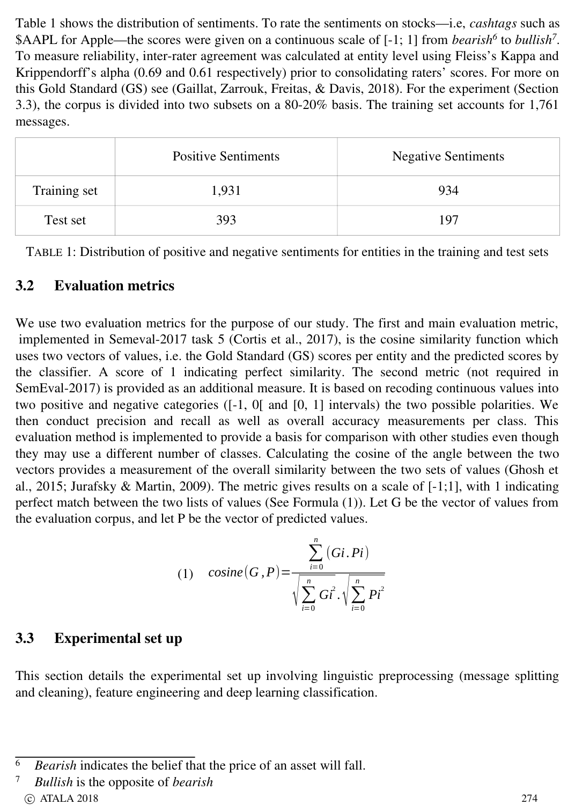Table 1 shows the distribution of sentiments. To rate the sentiments on stocks—i.e, *cashtags* such as \$AAPL for Apple—the scores were given on a continuous scale of [-1; 1] from *bearish*<sup>6</sup> to *bullish<sup>7</sup>*. To measure reliability, inter-rater agreement was calculated at entity level using Fleiss's Kappa and Krippendorff's alpha (0.69 and 0.61 respectively) prior to consolidating raters' scores. For more on this Gold Standard (GS) see (Gaillat, Zarrouk, Freitas, & Davis, 2018). For the experiment (Section 3.3), the corpus is divided into two subsets on a 8020% basis. The training set accounts for 1,761 messages.

|              | <b>Positive Sentiments</b> | <b>Negative Sentiments</b> |
|--------------|----------------------------|----------------------------|
| Training set | 1,931                      | 934                        |
| Test set     | 393                        | 197                        |

TABLE 1: Distribution of positive and negative sentiments for entities in the training and test sets

### 3.2 Evaluation metrics

We use two evaluation metrics for the purpose of our study. The first and main evaluation metric, implemented in Semeval-2017 task  $5$  (Cortis et al., 2017), is the cosine similarity function which uses two vectors of values, i.e. the Gold Standard (GS) scores per entity and the predicted scores by the classifier. A score of 1 indicating perfect similarity. The second metric (not required in SemEval-2017) is provided as an additional measure. It is based on recoding continuous values into two positive and negative categories  $([-1, 0[$  and  $[0, 1]$  intervals) the two possible polarities. We then conduct precision and recall as well as overall accuracy measurements per class. This evaluation method is implemented to provide a basis for comparison with other studies even though they may use a different number of classes. Calculating the cosine of the angle between the two vectors provides a measurement of the overall similarity between the two sets of values (Ghosh et al., 2015; Jurafsky & Martin, 2009). The metric gives results on a scale of  $[-1,1]$ , with 1 indicating perfect match between the two lists of values (See Formula (1)). Let G be the vector of values from the evaluation corpus, and let P be the vector of predicted values.

(1) 
$$
\text{cosine}(G, P) = \frac{\sum_{i=0}^{n} (Gi, Pi)}{\sqrt{\sum_{i=0}^{n} G_i^{2}} \cdot \sqrt{\sum_{i=0}^{n} P_i^{2}}}
$$

### 3.3 Experimental set up

This section details the experimental set up involving linguistic preprocessing (message splitting and cleaning), feature engineering and deep learning classification.

<sup>&</sup>lt;sup>6</sup> *Bearish* indicates the belief that the price of an asset will fall.

<sup>7</sup> *Bullish* is the opposite of *bearish* c ATALA 2018 274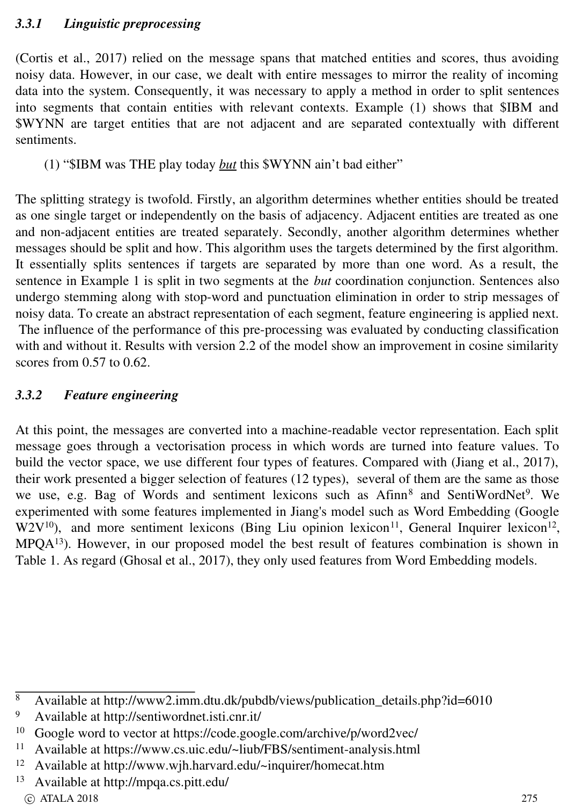(Cortis et al., 2017) relied on the message spans that matched entities and scores, thus avoiding noisy data. However, in our case, we dealt with entire messages to mirror the reality of incoming data into the system. Consequently, it was necessary to apply a method in order to split sentences into segments that contain entities with relevant contexts. Example (1) shows that \$IBM and \$WYNN are target entities that are not adjacent and are separated contextually with different sentiments.

(1) "\$IBM was THE play today *but* this \$WYNN ain't bad either"

The splitting strategy is twofold. Firstly, an algorithm determines whether entities should be treated as one single target or independently on the basis of adjacency. Adjacent entities are treated as one and non-adjacent entities are treated separately. Secondly, another algorithm determines whether messages should be split and how. This algorithm uses the targets determined by the first algorithm. It essentially splits sentences if targets are separated by more than one word. As a result, the sentence in Example 1 is split in two segments at the *but* coordination conjunction. Sentences also undergo stemming along with stop-word and punctuation elimination in order to strip messages of noisy data. To create an abstract representation of each segment, feature engineering is applied next. The influence of the performance of this pre-processing was evaluated by conducting classification with and without it. Results with version 2.2 of the model show an improvement in cosine similarity scores from 0.57 to 0.62.

### *3.3.2 Feature engineering*

At this point, the messages are converted into a machine-readable vector representation. Each split message goes through a vectorisation process in which words are turned into feature values. To build the vector space, we use different four types of features. Compared with (Jiang et al., 2017), their work presented a bigger selection of features (12 types), several of them are the same as those we use, e.g. Bag of Words and sentiment lexicons such as Afinn<sup>8</sup> and SentiWordNet<sup>9</sup>. We experimented with some features implemented in Jiang's model such as Word Embedding (Google  $W2V^{10}$ ), and more sentiment lexicons (Bing Liu opinion lexicon<sup>11</sup>, General Inquirer lexicon<sup>12</sup>, MPQA<sup>13</sup>). However, in our proposed model the best result of features combination is shown in Table 1. As regard (Ghosal et al., 2017), they only used features from Word Embedding models.

<sup>8</sup> Available at http://www2.imm.dtu.dk/pubdb/views/publication\_details.php?id=6010<br>9 Available at http://sentiwordnet.isti.cnr.it/

<sup>9</sup> Available at http://sentiwordnet.isti.cnr.it/<br> $^{10}$  Google word to vector at https://code.google

<sup>&</sup>lt;sup>10</sup> Google word to vector at https://code.google.com/archive/p/word2vec/<br><sup>11</sup> Available at https://www.cs.uic.edu/~liub/EBS/centiment.apalysis.html

Available at https://www.cs.uic.edu/~liub/FBS/sentiment-analysis.html

<sup>12</sup> Available at http://www.wjh.harvard.edu/~inquirer/homecat.htm

<sup>13</sup> Available at http://mpqa.cs.pitt.edu/  $\circ$  ATALA 2018 275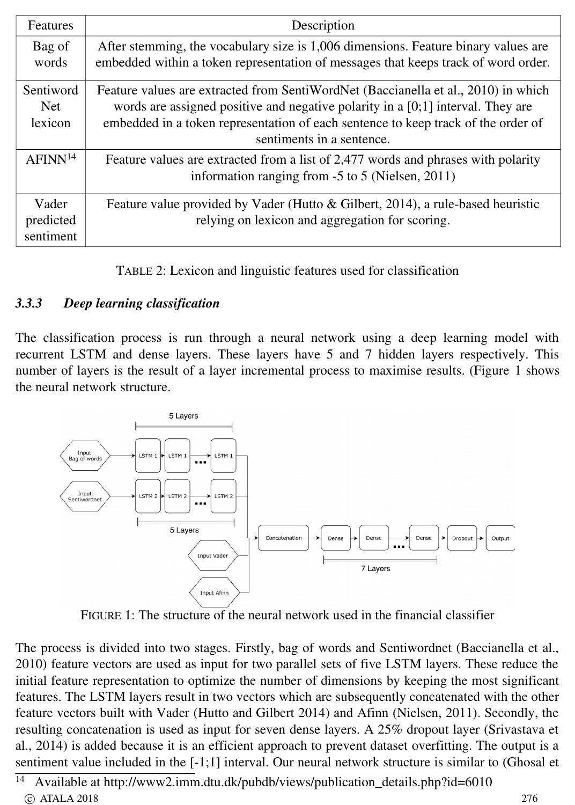| <b>Features</b>                    | Description                                                                                                                                                                                                                                                                               |  |
|------------------------------------|-------------------------------------------------------------------------------------------------------------------------------------------------------------------------------------------------------------------------------------------------------------------------------------------|--|
| Bag of<br>words                    | After stemming, the vocabulary size is 1,006 dimensions. Feature binary values are<br>embedded within a token representation of messages that keeps track of word order.                                                                                                                  |  |
| Sentiword<br><b>Net</b><br>lexicon | Feature values are extracted from SentiWordNet (Baccianella et al., 2010) in which<br>words are assigned positive and negative polarity in a $[0;1]$ interval. They are<br>embedded in a token representation of each sentence to keep track of the order of<br>sentiments in a sentence. |  |
| AFINN <sup>14</sup>                | Feature values are extracted from a list of 2,477 words and phrases with polarity<br>information ranging from $-5$ to 5 (Nielsen, 2011)                                                                                                                                                   |  |
| Vader<br>predicted<br>sentiment    | Feature value provided by Vader (Hutto & Gilbert, 2014), a rule-based heuristic<br>relying on lexicon and aggregation for scoring.                                                                                                                                                        |  |

TABLE 2: Lexicon and linguistic features used for classification

### *3.3.3 Deep learning classification*

The classification process is run through a neural network using a deep learning model with recurrent LSTM and dense layers. These layers have 5 and 7 hidden layers respectively. This number of layers is the result of a layer incremental process to maximise results. (Figure 1 shows the neural network structure.



FIGURE 1: The structure of the neural network used in the financial classifier

The process is divided into two stages. Firstly, bag of words and Sentiwordnet (Baccianella et al., 2010) feature vectors are used as input for two parallel sets of five LSTM layers. These reduce the initial feature representation to optimize the number of dimensions by keeping the most significant features. The LSTM layers result in two vectors which are subsequently concatenated with the other feature vectors built with Vader (Hutto and Gilbert 2014) and Afinn (Nielsen, 2011). Secondly, the resulting concatenation is used as input for seven dense layers. A 25% dropout layer (Srivastava et al., 2014) is added because it is an efficient approach to prevent dataset overfitting. The output is a sentiment value included in the [-1;1] interval. Our neural network structure is similar to (Ghosal et

<sup>14</sup> Available at http://www2.imm.dtu.dk/pubdb/views/publication\_details.php?id=6010 c ATALA 2018 276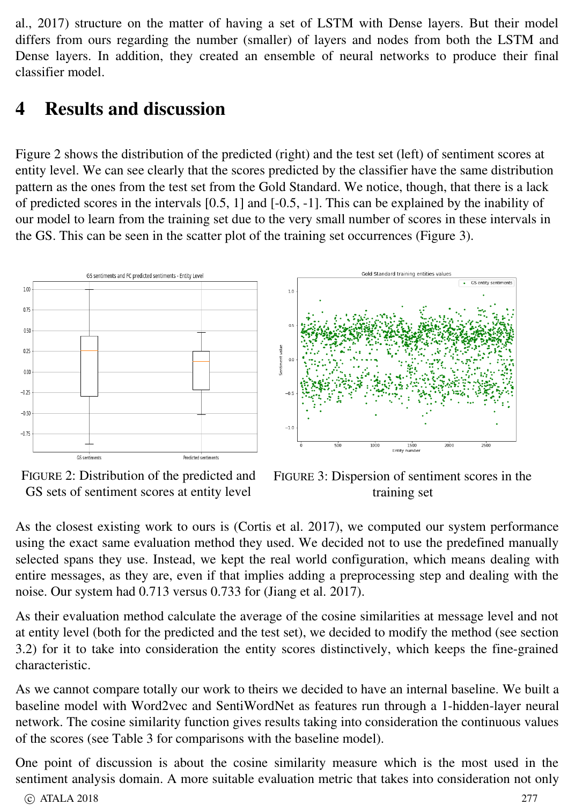al., 2017) structure on the matter of having a set of LSTM with Dense layers. But their model differs from ours regarding the number (smaller) of layers and nodes from both the LSTM and Dense layers. In addition, they created an ensemble of neural networks to produce their final classifier model.

## 4 Results and discussion

Figure 2 shows the distribution of the predicted (right) and the test set (left) of sentiment scores at entity level. We can see clearly that the scores predicted by the classifier have the same distribution pattern as the ones from the test set from the Gold Standard. We notice, though, that there is a lack of predicted scores in the intervals  $[0.5, 1]$  and  $[-0.5, -1]$ . This can be explained by the inability of our model to learn from the training set due to the very small number of scores in these intervals in the GS. This can be seen in the scatter plot of the training set occurrences (Figure 3).



FIGURE 2: Distribution of the predicted and GS sets of sentiment scores at entity level

FIGURE 3: Dispersion of sentiment scores in the training set

As the closest existing work to ours is (Cortis et al. 2017), we computed our system performance using the exact same evaluation method they used. We decided not to use the predefined manually selected spans they use. Instead, we kept the real world configuration, which means dealing with entire messages, as they are, even if that implies adding a preprocessing step and dealing with the noise. Our system had 0.713 versus 0.733 for (Jiang et al. 2017).

As their evaluation method calculate the average of the cosine similarities at message level and not at entity level (both for the predicted and the test set), we decided to modify the method (see section 3.2) for it to take into consideration the entity scores distinctively, which keeps the finegrained characteristic.

As we cannot compare totally our work to theirs we decided to have an internal baseline. We built a baseline model with Word2vec and SentiWordNet as features run through a 1-hidden-layer neural network. The cosine similarity function gives results taking into consideration the continuous values of the scores (see Table 3 for comparisons with the baseline model).

One point of discussion is about the cosine similarity measure which is the most used in the sentiment analysis domain. A more suitable evaluation metric that takes into consideration not only

```
\circ ATALA 2018 277
```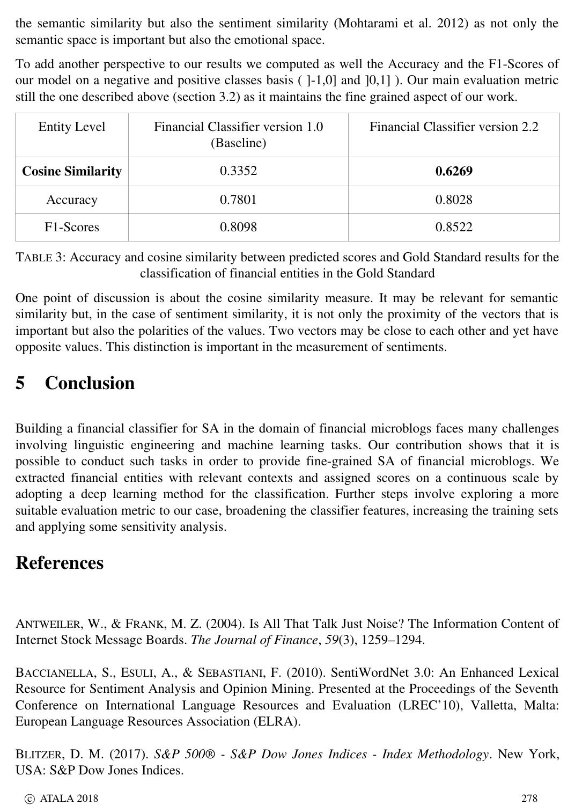the semantic similarity but also the sentiment similarity (Mohtarami et al. 2012) as not only the semantic space is important but also the emotional space.

To add another perspective to our results we computed as well the Accuracy and the F1-Scores of our model on a negative and positive classes basis  $($ ]-1,0] and  $]0,1]$  ). Our main evaluation metric still the one described above (section 3.2) as it maintains the fine grained aspect of our work.

| <b>Entity Level</b>      | Financial Classifier version 1.0<br>(Baseline) | Financial Classifier version 2.2 |
|--------------------------|------------------------------------------------|----------------------------------|
| <b>Cosine Similarity</b> | 0.3352                                         | 0.6269                           |
| Accuracy                 | 0.7801                                         | 0.8028                           |
| F <sub>1</sub> -Scores   | 0.8098                                         | 0.8522                           |

TABLE 3: Accuracy and cosine similarity between predicted scores and Gold Standard results for the classification of financial entities in the Gold Standard

One point of discussion is about the cosine similarity measure. It may be relevant for semantic similarity but, in the case of sentiment similarity, it is not only the proximity of the vectors that is important but also the polarities of the values. Two vectors may be close to each other and yet have opposite values. This distinction is important in the measurement of sentiments.

# 5 Conclusion

Building a financial classifier for SA in the domain of financial microblogs faces many challenges involving linguistic engineering and machine learning tasks. Our contribution shows that it is possible to conduct such tasks in order to provide finegrained SA of financial microblogs. We extracted financial entities with relevant contexts and assigned scores on a continuous scale by adopting a deep learning method for the classification. Further steps involve exploring a more suitable evaluation metric to our case, broadening the classifier features, increasing the training sets and applying some sensitivity analysis.

## References

ANTWEILER, W., & FRANK, M. Z. (2004). Is All That Talk Just Noise? The Information Content of Internet Stock Message Boards. *The Journal of Finance*, *59*(3), 1259–1294.

BACCIANELLA, S., ESULI, A., & SEBASTIANI, F. (2010). SentiWordNet 3.0: An Enhanced Lexical Resource for Sentiment Analysis and Opinion Mining. Presented at the Proceedings of the Seventh Conference on International Language Resources and Evaluation (LREC'10), Valletta, Malta: European Language Resources Association (ELRA).

BLITZER, D. M. (2017). *S&P 500® S&P Dow Jones Indices Index Methodology*. New York, USA: S&P Dow Jones Indices.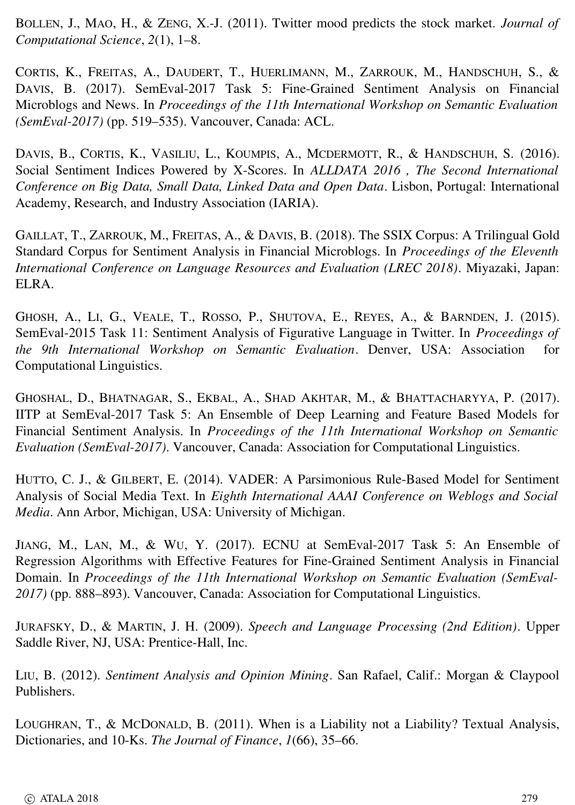BOLLEN, J., MAO, H., & ZENG, X.-J. (2011). Twitter mood predicts the stock market. *Journal of Computational Science*, *2*(1), 1–8.

CORTIS, K., FREITAS, A., DAUDERT, T., HUERLIMANN, M., ZARROUK, M., HANDSCHUH, S., & DAVIS, B. (2017). SemEval-2017 Task 5: Fine-Grained Sentiment Analysis on Financial Microblogs and News. In *Proceedings of the 11th International Workshop on Semantic Evaluation (SemEval2017)* (pp. 519–535). Vancouver, Canada: ACL.

DAVIS, B., CORTIS, K., VASILIU, L., KOUMPIS, A., MCDERMOTT, R., & HANDSCHUH, S. (2016). Social Sentiment Indices Powered by X-Scores. In *ALLDATA 2016*, The Second International *Conference on Big Data, Small Data, Linked Data and Open Data*. Lisbon, Portugal: International Academy, Research, and Industry Association (IARIA).

GAILLAT, T., ZARROUK, M., FREITAS, A., & DAVIS, B. (2018). The SSIX Corpus: A Trilingual Gold Standard Corpus for Sentiment Analysis in Financial Microblogs. In *Proceedings of the Eleventh International Conference on Language Resources and Evaluation (LREC 2018)*. Miyazaki, Japan: ELRA.

GHOSH, A., L I, G., VEALE, T., ROSSO, P., SHUTOVA, E., REYES, A., & BARNDEN, J. (2015). SemEval2015 Task 11: Sentiment Analysis of Figurative Language in Twitter. In *Proceedings of the 9th International Workshop on Semantic Evaluation*. Denver, USA: Association for Computational Linguistics.

GHOSHAL, D., BHATNAGAR, S., EKBAL, A., SHAD AKHTAR, M., & BHATTACHARYYA, P. (2017). IITP at SemEval-2017 Task 5: An Ensemble of Deep Learning and Feature Based Models for Financial Sentiment Analysis. In *Proceedings of the 11th International Workshop on Semantic Evaluation (SemEval2017)*. Vancouver, Canada: Association for Computational Linguistics.

HUTTO, C. J., & GILBERT, E. (2014). VADER: A Parsimonious Rule-Based Model for Sentiment Analysis of Social Media Text. In *Eighth International AAAI Conference on Weblogs and Social Media*. Ann Arbor, Michigan, USA: University of Michigan.

JIANG, M., LAN, M., & WU, Y. (2017). ECNU at SemEval-2017 Task 5: An Ensemble of Regression Algorithms with Effective Features for FineGrained Sentiment Analysis in Financial Domain. In *Proceedings of the 11th International Workshop on Semantic Evaluation (SemEval-2017)* (pp. 888–893). Vancouver, Canada: Association for Computational Linguistics.

JURAFSKY, D., & MARTIN, J. H. (2009). *Speech and Language Processing (2nd Edition)*. Upper Saddle River, NJ, USA: Prentice-Hall, Inc.

LIU, B. (2012). *Sentiment Analysis and Opinion Mining*. San Rafael, Calif.: Morgan & Claypool Publishers.

LOUGHRAN, T., & M C DONALD, B. (2011). When is a Liability not a Liability? Textual Analysis, Dictionaries, and 10-Ks. The Journal of Finance, 1(66), 35-66.